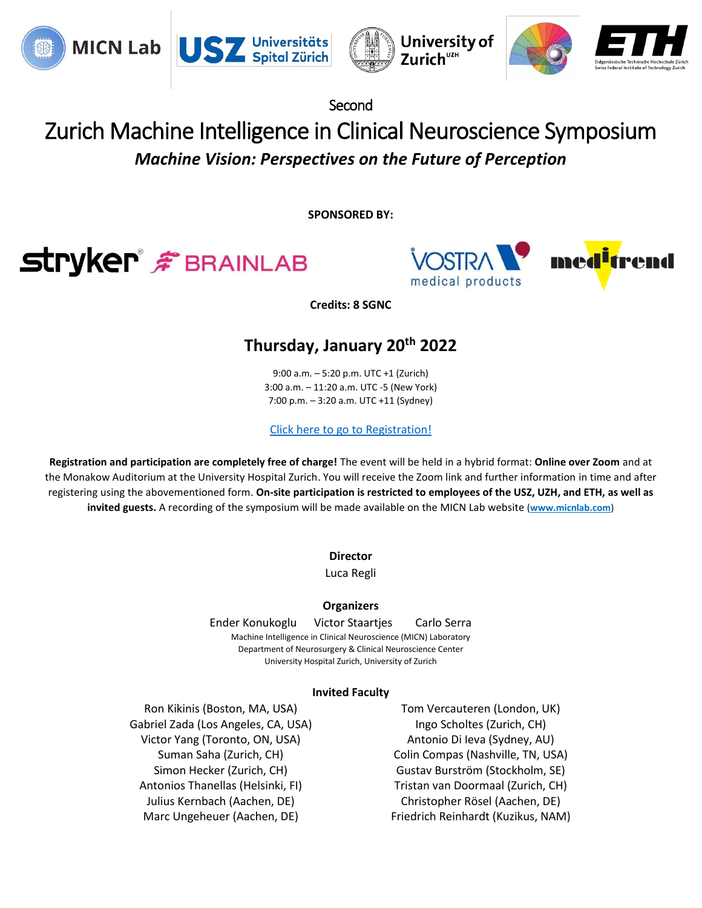







Second

# Zurich Machine Intelligence in Clinical Neuroscience Symposium *Machine Vision: Perspectives on the Future of Perception*

**SPONSORED BY:**





**Credits: 8 SGNC**

### **Thursday, January 20th 2022**

9:00 a.m. – 5:20 p.m. UTC +1 (Zurich) 3:00 a.m. – 11:20 a.m. UTC -5 (New York) 7:00 p.m. – 3:20 a.m. UTC +11 (Sydney)

[Click here to go to Registration!](https://forms.gle/uzBUp4qZkBRqULBH8)

**Registration and participation are completely free of charge!** The event will be held in a hybrid format: **Online over Zoom** and at the Monakow Auditorium at the University Hospital Zurich. You will receive the Zoom link and further information in time and after registering using the abovementioned form. **On-site participation is restricted to employees of the USZ, UZH, and ETH, as well as invited guests.** A recording of the symposium will be made available on the MICN Lab website (**[www.micnlab.com](http://www.micnlab.com/)**)

**Director**

Luca Regli

#### **Organizers**

 Ender Konukoglu Victor Staartjes Carlo Serra Machine Intelligence in Clinical Neuroscience (MICN) Laboratory Department of Neurosurgery & Clinical Neuroscience Center University Hospital Zurich, University of Zurich

#### **Invited Faculty**

Ron Kikinis (Boston, MA, USA) Tom Vercauteren (London, UK) Gabriel Zada (Los Angeles, CA, USA) Ingo Scholtes (Zurich, CH) Victor Yang (Toronto, ON, USA) Antonio Di Ieva (Sydney, AU)

Suman Saha (Zurich, CH) Colin Compas (Nashville, TN, USA) Simon Hecker (Zurich, CH) Gustav Burström (Stockholm, SE) Antonios Thanellas (Helsinki, FI) Tristan van Doormaal (Zurich, CH) Julius Kernbach (Aachen, DE) Christopher Rösel (Aachen, DE) Marc Ungeheuer (Aachen, DE) Friedrich Reinhardt (Kuzikus, NAM)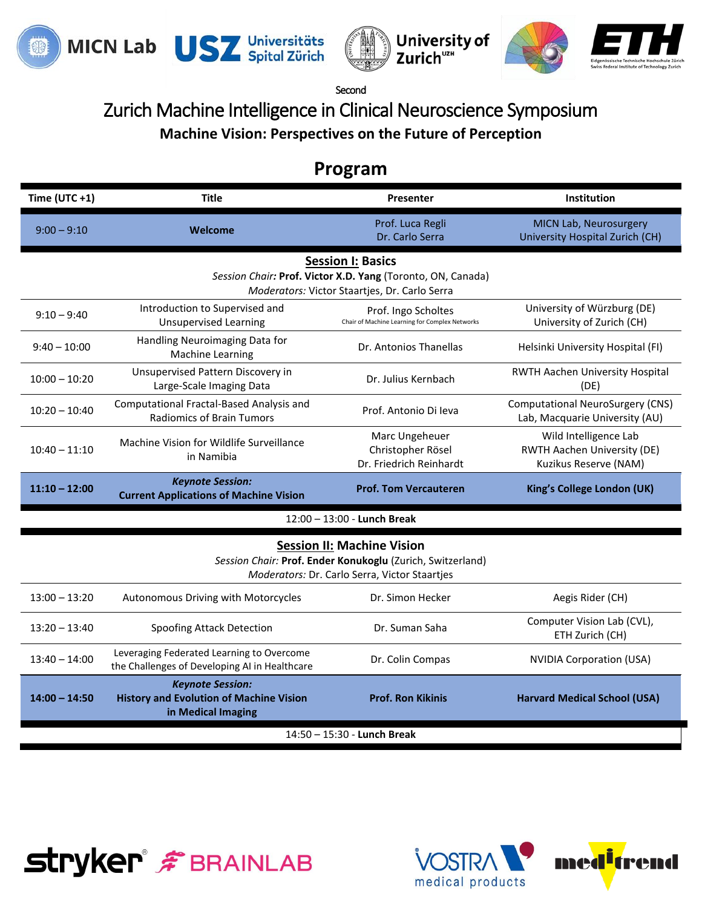

**Stryker F** BRAINLAB







Second

## Zurich Machine Intelligence in Clinical Neuroscience Symposium **Machine Vision: Perspectives on the Future of Perception**

## **Program**

| Time $(UTC + 1)$                                                                                                                                 | <b>Title</b>                                                                                    | Presenter                                                             | Institution                                                                   |  |  |
|--------------------------------------------------------------------------------------------------------------------------------------------------|-------------------------------------------------------------------------------------------------|-----------------------------------------------------------------------|-------------------------------------------------------------------------------|--|--|
| $9:00 - 9:10$                                                                                                                                    | Welcome                                                                                         | Prof. Luca Regli<br>Dr. Carlo Serra                                   | MICN Lab, Neurosurgery<br>University Hospital Zurich (CH)                     |  |  |
| <b>Session I: Basics</b><br>Session Chair: Prof. Victor X.D. Yang (Toronto, ON, Canada)<br>Moderators: Victor Staartjes, Dr. Carlo Serra         |                                                                                                 |                                                                       |                                                                               |  |  |
| $9:10 - 9:40$                                                                                                                                    | Introduction to Supervised and<br><b>Unsupervised Learning</b>                                  | Prof. Ingo Scholtes<br>Chair of Machine Learning for Complex Networks | University of Würzburg (DE)<br>University of Zurich (CH)                      |  |  |
| $9:40 - 10:00$                                                                                                                                   | Handling Neuroimaging Data for<br>Machine Learning                                              | Dr. Antonios Thanellas                                                | Helsinki University Hospital (FI)                                             |  |  |
| $10:00 - 10:20$                                                                                                                                  | Unsupervised Pattern Discovery in<br>Large-Scale Imaging Data                                   | Dr. Julius Kernbach                                                   | RWTH Aachen University Hospital<br>(DE)                                       |  |  |
| $10:20 - 10:40$                                                                                                                                  | Computational Fractal-Based Analysis and<br><b>Radiomics of Brain Tumors</b>                    | Prof. Antonio Di leva                                                 | <b>Computational NeuroSurgery (CNS)</b><br>Lab, Macquarie University (AU)     |  |  |
| $10:40 - 11:10$                                                                                                                                  | Machine Vision for Wildlife Surveillance<br>in Namibia                                          | Marc Ungeheuer<br>Christopher Rösel<br>Dr. Friedrich Reinhardt        | Wild Intelligence Lab<br>RWTH Aachen University (DE)<br>Kuzikus Reserve (NAM) |  |  |
| $11:10 - 12:00$                                                                                                                                  | <b>Keynote Session:</b><br><b>Current Applications of Machine Vision</b>                        | <b>Prof. Tom Vercauteren</b>                                          | King's College London (UK)                                                    |  |  |
| $12:00 - 13:00$ - Lunch Break                                                                                                                    |                                                                                                 |                                                                       |                                                                               |  |  |
| <b>Session II: Machine Vision</b><br>Session Chair: Prof. Ender Konukoglu (Zurich, Switzerland)<br>Moderators: Dr. Carlo Serra, Victor Staartjes |                                                                                                 |                                                                       |                                                                               |  |  |
| $13:00 - 13:20$                                                                                                                                  | Autonomous Driving with Motorcycles                                                             | Dr. Simon Hecker                                                      | Aegis Rider (CH)                                                              |  |  |
| $13:20 - 13:40$                                                                                                                                  | Spoofing Attack Detection                                                                       | Dr. Suman Saha                                                        | Computer Vision Lab (CVL),<br>ETH Zurich (CH)                                 |  |  |
| $13:40 - 14:00$                                                                                                                                  | Leveraging Federated Learning to Overcome<br>the Challenges of Developing AI in Healthcare      | Dr. Colin Compas                                                      | <b>NVIDIA Corporation (USA)</b>                                               |  |  |
| $14:00 - 14:50$                                                                                                                                  | <b>Keynote Session:</b><br><b>History and Evolution of Machine Vision</b><br>in Medical Imaging | <b>Prof. Ron Kikinis</b>                                              | <b>Harvard Medical School (USA)</b>                                           |  |  |
| $14:50 - 15:30$ - Lunch Break                                                                                                                    |                                                                                                 |                                                                       |                                                                               |  |  |